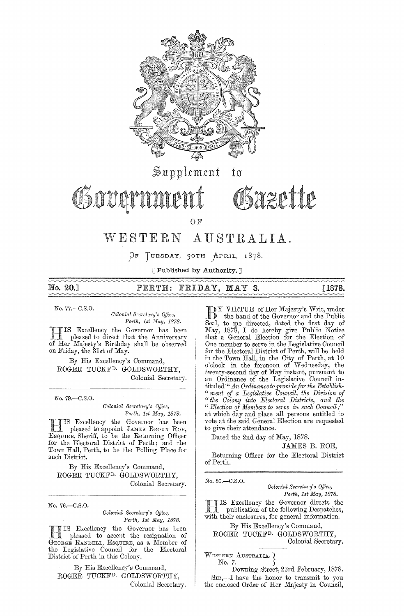

 $\operatorname{\mathbb{S}}$ upplement  $t\mathfrak{o}$ 

Osovarnn

*aztttt* 

OF

# WESTERN AUSTRALIA.

 $\rho$ F TUESDAY, 30TH APRIL, 1878.

[Published by Authority. ]

## No.20.J PERTH: FRIDAY, MAY 3. [1878.

No. 77.-C.S.0.

*Colonial Secretary's Qffice, Perth, 1st May, 1878.* 

B IS Excellency the Governor has been pleased to direct that the Anniversary of Her Majesty's Birthday shall be observed on Friday, the 31st of May.

By His Excellency's Command, ROGER TUCKFD. GOLDSWORTHY, Colonial Secretary.

No. 79.-C.S.O.

*Colonial Secretary's Office,* Perth, 1st May, 1878.

HIS Excellency the Governor has been<br>pleased to appoint JAMES BROUN ROE, ESQUIRE, Sheriff, to be the Returning Officer for the Electoral District of Perth; and the Town Hall, Perth, to be the Polling Place for such District.

By His Excellency's Command, ROGER TUCKFD. GOLDSWORTHY, Colonial Secretary.

No. 76.-C.S.0.

*Colonial Secreta1'Y's Office, Perth, 1st May, 1878.* 

B IS Excellency the Governor has been pleased to accept the resignation of GEORGE RANDELL, ESQUIRE, as a Member of the Legislative Council for the Electoral District of Perth in this Colony.

By His Excellency's Command, ROGER TUCKFD. GOLDSWORTHY, Colonial Secretary.

DY VIRTUE of Her Majesty's Writ, under the hand of the Governor and the Public Seal, to me directed, dated the first day of May, 1878, I do hereby give Public Notice that a General Election for the Election of One member to serve in the Legislative Council for the Electoral District of Perth, will be held in the Town Hall, in the City of Perth, at 10 0' clock in the forenoon of Weclnesday, the twenty-second day of May instant, pursuant to an Ordinance of the Legislative Council intituled " *An Ordinance to provide for the Establish-"ment of a Legislative Council, the Division of* " the Colony into Electoral Districts, and the *" Election of Members to serve in such Council;"* at which day and place all persons entitled to vote at the said General Election are requested to give their attendance.

Dated the 2nd day of May, 1878.

### JAMES B. ROE,

Returning Officer for the Electoral District of Perth.

No.80.-C.S.0.

*Colonial SeC1'eta1'y's Office, Perth, 1st May, 1878.* 

**RIS Excellency the Governor directs the publication of the following Despatches,** with their enclosures, for general information.

By His Excellency's Command,

ROGER TUCKFD. GOLDSWORTHY, Colonial Secretary.

WESTERN AUSTRALIA. No. 7.

Downing Street, 23rd February, 1878. SIR,-I have the honor to transmit to you the enclosed Order of Her Majesty in Council,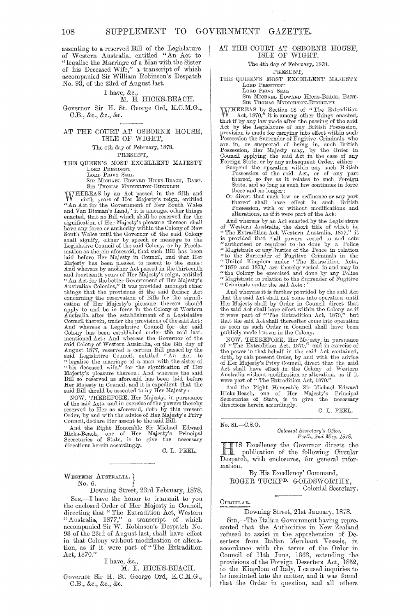assenting to a reserved Bill of the Legislature of Western Australia, entitled "An Act to " legalise the Marriage of a Man with the Sister of his Deceased Wife," a transcript of which accompanied Sir William Robinson's Despatch No. 93, of the 23rd of August last.

#### I have, &c.,

#### M. E. HICKS-BEACH.

Governor Sir H. St. George Ord, K.C.M.G., C.B., &c., &c., &c.

#### AT THE COURT AT OSBORNE HOUSE, ISLE OF WIGHT,

The 4th day of February, 1878. PRESENT,

#### THE QUEEN'S MOST EXCELLENT MAJESTY LORD PRESIDENT LORD PRIVY SEAL

SIR MICHAEL EDWARD HICKS-BEACH, BART. SIR THOMAS MYDDELTON-BIDDULPH

WHEREAS by an Act passed in the fifth and<br>
sixth years of Her Majesty's reign, entitled<br>
"An Act for the Government of New South Wales<br>
and Van Dieman's Land," it is amongst other things<br>
enacted, that no Bill which shall shall signify, either by speech or message to the Legislative Council of the said Colony, or by Procla-<br>mation as therein aforesaid, that such Bill has been laid before Her Majesty in Council, and that Her<br>Majesty has been pleased to assent to the same:<br>And whereas by another Act passed in the thirteenth<br>and fourteenth years of Her Majesty's reign, entitled<br>"An Act for the bet things that the provisions of the said former Act<br>concerning the reservation of Bills for the signifi-<br>cation of Her Majesty's pleasure thereon should<br>apply to and be in force in the Colony of Western<br>Australia after the e Colony has been established under the said last-<br>mentioned Act: And whereas the Governor of the<br>said Colony of Western Australia, on the 6th day of<br>August 1877, reserved a certain Bill passed by the<br>said Legislative Counci

NOW, THEREFORE, Her Majesty, in pursuance of the said Acts, ancl in exercise of the powers thereby reserved to Her as aforesaid, doth by this present Order, by and with the advice of Hell. Majesty's Privy Council, declare Her assent to the said Bill.

And the Right Honorable Sir Michael Edward<br>Hicks-Beach, one of Her Majesty's Principal Eicks-Beach, one of Her Majesty's Principal<br>Secretaries of State, is to give the necessary directions herein accordingly.

C. L. PEEL.

#### WESTERN AUSTRALIA. No. 6. )

Downing Street, 23rd February, 1878.

SIR,-I have the honor to transmit to you the enclosed Order of Her Majesty in Council, directing that "The Extradition Act, Western "Australia, 1877," a transcript of which accompanied Sir W. Robinson's Despatch No. 93 of the 23rd of August last, shall have effect in that Colony without modification or alteration, as if it were part of" The Extradition Act, 1870.'

#### I have, &c.,

#### M. E. HICKS-BEACH.

Governor Sir H. St. George Ord, K.C.M.G., C.B., &c., &c., &c.

#### AT THE COURT AT OSBORNE HOUSE. ISLE OF WIGHT.

#### The 4th day of February, 1878.

#### PRESENT,

THE QUEEN'S MOST EXCELLENT MAJESTY LORD PRESIDENT

LORD PRIVY SEAL

SIR MICHAEL EDWARD HICKS-BEACH, BART. SIR THOMAS MYDDELTON-BIDDULPH

WHEREAS by Section 18 of "The Extradition Act, 1870," it is among other things enacted, that if by any law made after the passing of the said Act by the Legislature of any British Possession, provision is made for carrying

- Suspend the operation within any such British Possession of the said Act, or of any part<br>thereof, so far as it relates to such Foreign State, and so long as such law continues in force there and no longer:
- Or direct that such law or ordinance or any part<br>thereof shall have effect in such British<br>Possession, with or without modifications and alterations, as if it were part of the Act:

And whereas by an Act enacted by the Legislature<br>of Western Australia, the short title of which is,<br>"The Extradition Act, Western Australia, 1877," it<br>is provided that "all powers vested in and acts<br>"authorised or require " Magistrate in relation to the Surrender of " Criminals under the said Acts: "

And whereas it is further provided hy the said Act that the said Act shall not come into operation until Her Majesty shall by Order in Council direct that<br>the said Act shall have effect within the Colony as if<br>it were part of "The Extradition Act, 1870," but<br>that the said Act shall thereafter come into operation as soon as such Order in Council shall have been publicly made known in the Colony.

NOW, THEREFORE, Her Majesty, in pursuance<br>of "The Extradition Act, 1870," and in exercise of<br>the power in that behalf in the said Act contained,<br>doth, by this present Order, by and with the advice<br>of Her Majesty's Privy Co

And the Right Honorable Sir Michael Edward<br>Hicks-Beach, one of Her Majesty's Principal<br>Secretaries of State, is to give the necessary Hicks-Beach, one of Her Maje<br>Secretaries of State, is to give<br>directions herein accordingly.

C. L. PEEL.

No. 81.-C.S.0.

*Colonial SeCl'etal'Y's O.Dice,*  Perth, 2nd May, 1878.

HIS Excellency the Governor directs the publication of the following Circular Despatch, with enclosures, for general information.

By His Excellency' Command, ROGER TUCKFD. GOLDSWORTHY, Colonial Secretary.

#### CIRCULAR.

#### Downing Street, 21st Jauuary, 1878.

SIR,-The Italian Government having represented that the Authorities in New Zealand refused to assist in the apprehension of Deserters from Italian Merchant Vessels, in accordance with the terms of the Order in Council of 11th June, 1863, extending the provisions of the Foreign Deserters Act, 1852, to the Kingdom of Italy, I caused inquiries to be instituted into the matter, and it was found that the Order in question, and all others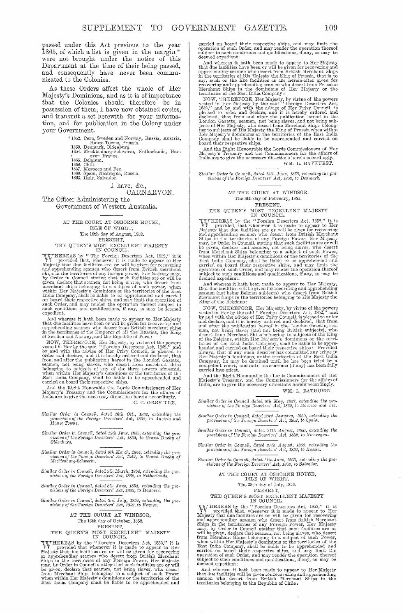passed under this Act previous to the year 1865, of which a list is given in the margin. were not brought under the notice of this Department at the time of their being passed,<br>and consequently have never been communicated to the Colonies.

As these Orders affect the whole of Her Majesty's Dominions, and as it is of importance that the Colonies should therefore be in<br>possession of them, I have now obtained copies, and transmit a set herewith for your information, and for publication in the Colony under your Government.

verlandent, Morald Norway, Russia, Austria, \*1852, Peru, Sweden and Norway, Russia, 1854, Meanwark, Oldenburg, 1854, Mealenburg, Schwerin, Netherlands, Handels, 1957, Chili,<br>1855, Belgium, 1970, Theory, Trance, 1855, Belgi

## I have, &c.,

CARNARVON. The Officer Administering the

Government of Western Australia.

AT THE COURT AT OSBORNE HOUSE, ISLE OF WIGHT, The 18th day of August, 1852.

The 18th day of America,<br>The 18th day of America, PRESENT, THE QUEEN'S MOST EXCELLENT MAJESTY IN COUNCIL, WAT THEREAS by "The Frocign Deserters Act, 1852," it is Majesty that due facilities are or will be given for recove

state conductions and qualifications, it any, as may be decemed<br>expedient.<br>Such computed that the fact it and whereas it has<br>the beam of the prior for recovering and<br>pyrchending seamen who descrit from British merchant sh

C. C. GREVILLE.

 $\begin{tabular}{ll} Similar Order~in~ Council,~ated~16th~Oct.,~1852,~cstrending~the~provisions~of~the~Poroign~Desorters'~Act.,~1852,~to~Austria~and~Hanse Tovens. \end{tabular}$ 

Similar Order in Council, dated 13th June, 1853, extending the provisions of the Foreign Descriers' Act, 1852, to Grand Duchy of Oldenburg.

Similar Order in Council, dated 9th March, 1854, extending the provisions of the Foreign Deserters' Act, 1852, to Grand Duchy of Mecklenburg-Schwerin.

Similar Order in Council, dated 9th March, 1854, extending the provisions of the Foreign Deserters' Act, 1852, to Netherlands.

Similar Order in Council, dated *Sth* June, 1854, extending the provisions of the Foreign Deserters' Act, 1852, to Hanover.

Similar Order in Council, dated 3rd July, 1854, extending the provisions of the Foreign Deserters' Act, 1852, to France.

AT THE COURT AT WINDSOR, The 16th day of October, 1852.<br>PRESENT,

THE QUEEN'S MOST EXCELLENT MAJESTY

IN COUNCILL IVIDENCIAL IN COUNCILL IN COUNCILL INTO THE INTERTAIR by the "Foreign Deserters Act, 1852," it is  $\mathbb M$  provided that whenever it is made to appear to Her Majesty that due facilities are or will be given for

carried on board their respective ships, and may limit the operation of such Order, and may render the operation thereof subject to such conditions and qualifications, if any, as may be deemed expedient:

subject to such conditions and qualifications, if any, as may be<br>denoted capedient:<br>And whereas it hath been made to appear to Her Majesty<br>that due facilities have been or will be given for recovering and<br>pyrchending seam

WM. L. BATHURST.

Similar Order in Council, dated 13th June, 1853, extending the provisions of the Foreign Deserters' Act, 1852, to Denmark.

AT THE COURT AT WINDSOR.<br>The Sth day of February, 1855.

The Sth day of February, 1855.<br>
PRESENT, PRESENT, THE QUEEN'S MOST EXCELLENT MAJESTY<br>
IN COUNCIL.<br>
We provided, that whenever it is made to appear to FRESENT.<br>
We provided, that whenever it is made to appear to Fermion ap deemed expedient.

deemed expedient.<br>And whereas it hath been made to appear to Her Majesty,<br>that due facilities will be given for recovering and apprehending<br>seamen (not being Belgian subjects) who desert from British<br>Merchant Ships in the

King of the Eelgians :<br>
NOW, THEREFORE, Her Majesty, by virtue of the powers<br>
vested in Her by the said "Foreign Deserters Act, 1852," and<br>
vested in Her by the said "Foreign Deserters Act, 1852," and<br>
by and with the adv

And the Right Honourable the Lords Commissioners of Her Majesty's Treasury, and the Commissioners for the affairs of India, are to give the necessary directions herein accordingly. WM. L. BATHURST.

Similar Order in Council dated 6th May, 1857, extending the provisions of the Foreign Deserters' Act, 1852, to Morocco and Fez.

 $\begin{tabular}{p{3.5cm}} \hline \textbf{Similar Order in Council, dated 23rd January, 1860, extending the  
provisions of the Foreign Deserters' Act, 1852, to Spain. \end{tabular}$ 

Similar Order in Council, dated 27th August, 1860, extending the provisions of the Foreign Deserters' Act, 1852, to Nicaragua.

 $\label{eq:1} Similar~Order~in~Count,~data~27th~August,~1860,~extending~the~provisions~of~the~Foreign~Deserters'~Act,~1852,~to~Russia.$ 

 $\label{eq:1} Similar~Order~in~Count,~data~11th~June,~1863,~extending~the~pro~visions~of~the~Forcign~Deserters'~Act,~1852,~to~Salvador.$ 

AT THE COURT AT OSBORNE HOUSE, ISLE OF WIGHT, The 28th day of July, 1856. PRESENT,

THE QUEEN'S MOST EXCELLENT MAJESTY<br>
FREERAS by the "PROUNCILLENT MAJESTY<br>
IN COUNCILLENT IN COUNCILE.<br>
THE REREAS by the "Proceign Deserters Act, 1852," it is<br>
majesty that due to alle to appear to Her May a Majesty that